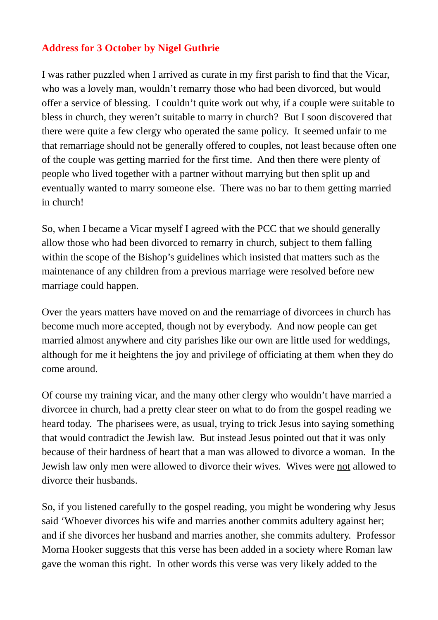## **Address for 3 October by Nigel Guthrie**

I was rather puzzled when I arrived as curate in my first parish to find that the Vicar, who was a lovely man, wouldn't remarry those who had been divorced, but would offer a service of blessing. I couldn't quite work out why, if a couple were suitable to bless in church, they weren't suitable to marry in church? But I soon discovered that there were quite a few clergy who operated the same policy. It seemed unfair to me that remarriage should not be generally offered to couples, not least because often one of the couple was getting married for the first time. And then there were plenty of people who lived together with a partner without marrying but then split up and eventually wanted to marry someone else. There was no bar to them getting married in church!

So, when I became a Vicar myself I agreed with the PCC that we should generally allow those who had been divorced to remarry in church, subject to them falling within the scope of the Bishop's guidelines which insisted that matters such as the maintenance of any children from a previous marriage were resolved before new marriage could happen.

Over the years matters have moved on and the remarriage of divorcees in church has become much more accepted, though not by everybody. And now people can get married almost anywhere and city parishes like our own are little used for weddings, although for me it heightens the joy and privilege of officiating at them when they do come around.

Of course my training vicar, and the many other clergy who wouldn't have married a divorcee in church, had a pretty clear steer on what to do from the gospel reading we heard today. The pharisees were, as usual, trying to trick Jesus into saying something that would contradict the Jewish law. But instead Jesus pointed out that it was only because of their hardness of heart that a man was allowed to divorce a woman. In the Jewish law only men were allowed to divorce their wives. Wives were not allowed to divorce their husbands.

So, if you listened carefully to the gospel reading, you might be wondering why Jesus said 'Whoever divorces his wife and marries another commits adultery against her; and if she divorces her husband and marries another, she commits adultery. Professor Morna Hooker suggests that this verse has been added in a society where Roman law gave the woman this right. In other words this verse was very likely added to the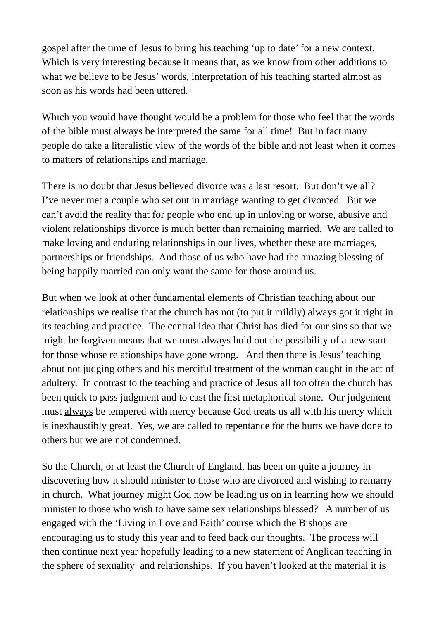gospel after the time of Jesus to bring his teaching 'up to date' for a new context. Which is very interesting because it means that, as we know from other additions to what we believe to be Jesus' words, interpretation of his teaching started almost as soon as his words had been uttered.

Which you would have thought would be a problem for those who feel that the words of the bible must always be interpreted the same for all time! But in fact many people do take a literalistic view of the words of the bible and not least when it comes to matters of relationships and marriage.

There is no doubt that Jesus believed divorce was a last resort. But don't we all? I've never met a couple who set out in marriage wanting to get divorced. But we can't avoid the reality that for people who end up in unloving or worse, abusive and violent relationships divorce is much better than remaining married. We are called to make loving and enduring relationships in our lives, whether these are marriages, partnerships or friendships. And those of us who have had the amazing blessing of being happily married can only want the same for those around us.

But when we look at other fundamental elements of Christian teaching about our relationships we realise that the church has not (to put it mildly) always got it right in its teaching and practice. The central idea that Christ has died for our sins so that we might be forgiven means that we must always hold out the possibility of a new start for those whose relationships have gone wrong. And then there is Jesus' teaching about not judging others and his merciful treatment of the woman caught in the act of adultery. In contrast to the teaching and practice of Jesus all too often the church has been quick to pass judgment and to cast the first metaphorical stone. Our judgement must always be tempered with mercy because God treats us all with his mercy which is inexhaustibly great. Yes, we are called to repentance for the hurts we have done to others but we are not condemned.

So the Church, or at least the Church of England, has been on quite a journey in discovering how it should minister to those who are divorced and wishing to remarry in church. What journey might God now be leading us on in learning how we should minister to those who wish to have same sex relationships blessed? A number of us engaged with the 'Living in Love and Faith' course which the Bishops are encouraging us to study this year and to feed back our thoughts. The process will then continue next year hopefully leading to a new statement of Anglican teaching in the sphere of sexuality and relationships. If you haven't looked at the material it is